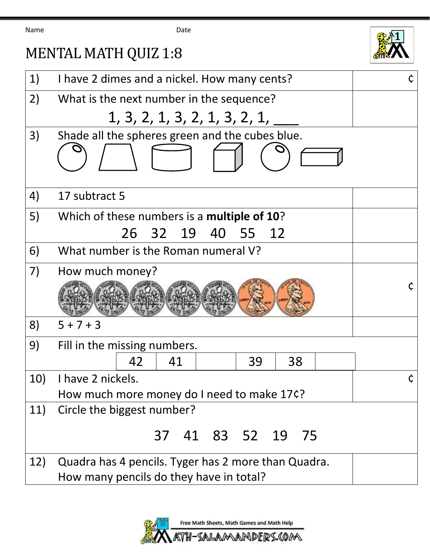Name Date

## MENTAL MATH QUIZ 1:8



| 1)  | I have 2 dimes and a nickel. How many cents?        |  |
|-----|-----------------------------------------------------|--|
| 2)  | What is the next number in the sequence?            |  |
|     | 1, 3, 2, 1, 3, 2, 1, 3, 2, 1,                       |  |
| 3)  | Shade all the spheres green and the cubes blue.     |  |
|     |                                                     |  |
| 4)  | 17 subtract 5                                       |  |
| 5)  | Which of these numbers is a multiple of 10?         |  |
|     | 26 32 19<br>40<br>55<br>12                          |  |
| 6)  | What number is the Roman numeral V?                 |  |
| 7)  | How much money?                                     |  |
|     |                                                     |  |
| 8)  | $5 + 7 + 3$                                         |  |
| 9)  | Fill in the missing numbers.                        |  |
|     | 41<br>38<br>42<br>39                                |  |
| 10) | I have 2 nickels.                                   |  |
|     | How much more money do I need to make 17¢?          |  |
| 11) | Circle the biggest number?                          |  |
|     | 37 41 83 52 19 75                                   |  |
| 12) | Quadra has 4 pencils. Tyger has 2 more than Quadra. |  |
|     | How many pencils do they have in total?             |  |